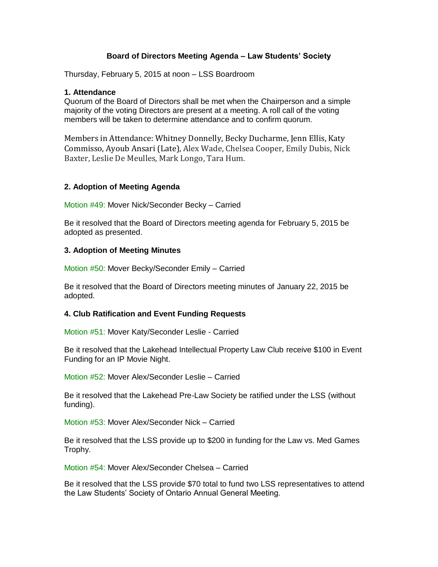## **Board of Directors Meeting Agenda – Law Students' Society**

Thursday, February 5, 2015 at noon – LSS Boardroom

#### **1. Attendance**

Quorum of the Board of Directors shall be met when the Chairperson and a simple majority of the voting Directors are present at a meeting. A roll call of the voting members will be taken to determine attendance and to confirm quorum.

Members in Attendance: Whitney Donnelly, Becky Ducharme, Jenn Ellis, Katy Commisso, Ayoub Ansari (Late), Alex Wade, Chelsea Cooper, Emily Dubis, Nick Baxter, Leslie De Meulles, Mark Longo, Tara Hum.

### **2. Adoption of Meeting Agenda**

Motion #49: Mover Nick/Seconder Becky – Carried

Be it resolved that the Board of Directors meeting agenda for February 5, 2015 be adopted as presented.

### **3. Adoption of Meeting Minutes**

Motion #50: Mover Becky/Seconder Emily – Carried

Be it resolved that the Board of Directors meeting minutes of January 22, 2015 be adopted.

### **4. Club Ratification and Event Funding Requests**

Motion #51: Mover Katy/Seconder Leslie - Carried

Be it resolved that the Lakehead Intellectual Property Law Club receive \$100 in Event Funding for an IP Movie Night.

Motion #52: Mover Alex/Seconder Leslie – Carried

Be it resolved that the Lakehead Pre-Law Society be ratified under the LSS (without funding).

Motion #53: Mover Alex/Seconder Nick – Carried

Be it resolved that the LSS provide up to \$200 in funding for the Law vs. Med Games Trophy.

Motion #54: Mover Alex/Seconder Chelsea – Carried

Be it resolved that the LSS provide \$70 total to fund two LSS representatives to attend the Law Students' Society of Ontario Annual General Meeting.